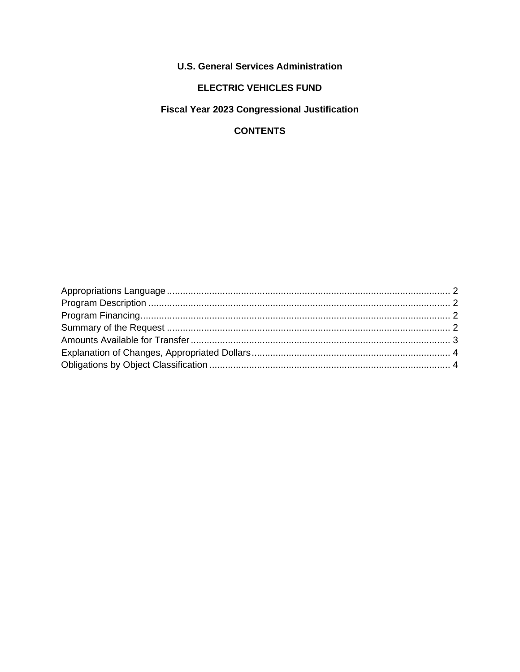**U.S. General Services Administration** 

# **ELECTRIC VEHICLES FUND**

**Fiscal Year 2023 Congressional Justification** 

## **CONTENTS**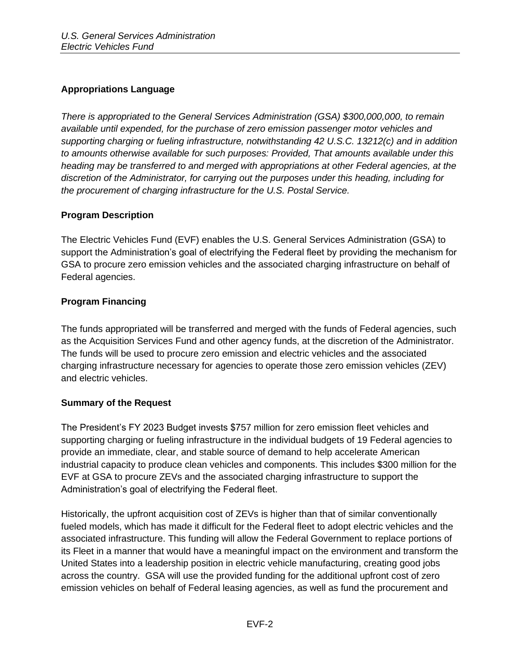## <span id="page-1-0"></span>**Appropriations Language**

*There is appropriated to the General Services Administration (GSA) \$300,000,000, to remain available until expended, for the purchase of zero emission passenger motor vehicles and supporting charging or fueling infrastructure, notwithstanding 42 U.S.C. 13212(c) and in addition to amounts otherwise available for such purposes: Provided, That amounts available under this heading may be transferred to and merged with appropriations at other Federal agencies, at the discretion of the Administrator, for carrying out the purposes under this heading, including for the procurement of charging infrastructure for the U.S. Postal Service.*

### <span id="page-1-1"></span>**Program Description**

The Electric Vehicles Fund (EVF) enables the U.S. General Services Administration (GSA) to support the Administration's goal of electrifying the Federal fleet by providing the mechanism for GSA to procure zero emission vehicles and the associated charging infrastructure on behalf of Federal agencies.

#### <span id="page-1-2"></span>**Program Financing**

The funds appropriated will be transferred and merged with the funds of Federal agencies, such as the Acquisition Services Fund and other agency funds, at the discretion of the Administrator. The funds will be used to procure zero emission and electric vehicles and the associated charging infrastructure necessary for agencies to operate those zero emission vehicles (ZEV) and electric vehicles.

### <span id="page-1-3"></span>**Summary of the Request**

The President's FY 2023 Budget invests \$757 million for zero emission fleet vehicles and supporting charging or fueling infrastructure in the individual budgets of 19 Federal agencies to provide an immediate, clear, and stable source of demand to help accelerate American industrial capacity to produce clean vehicles and components. This includes \$300 million for the EVF at GSA to procure ZEVs and the associated charging infrastructure to support the Administration's goal of electrifying the Federal fleet.

Historically, the upfront acquisition cost of ZEVs is higher than that of similar conventionally fueled models, which has made it difficult for the Federal fleet to adopt electric vehicles and the associated infrastructure. This funding will allow the Federal Government to replace portions of its Fleet in a manner that would have a meaningful impact on the environment and transform the United States into a leadership position in electric vehicle manufacturing, creating good jobs across the country. GSA will use the provided funding for the additional upfront cost of zero emission vehicles on behalf of Federal leasing agencies, as well as fund the procurement and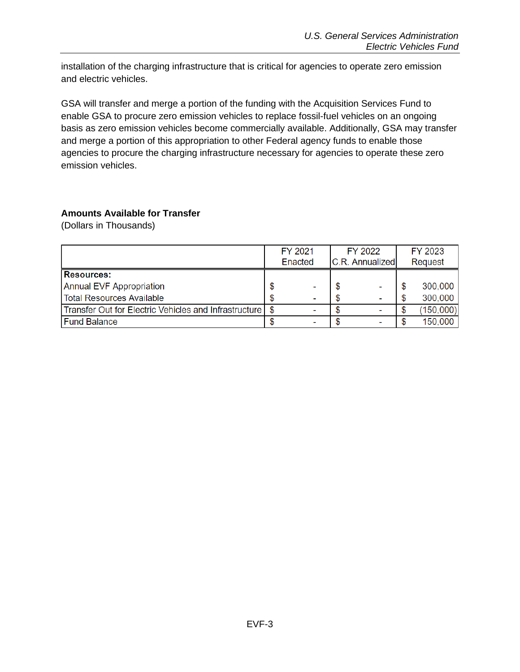installation of the charging infrastructure that is critical for agencies to operate zero emission and electric vehicles.

GSA will transfer and merge a portion of the funding with the Acquisition Services Fund to enable GSA to procure zero emission vehicles to replace fossil-fuel vehicles on an ongoing basis as zero emission vehicles become commercially available. Additionally, GSA may transfer and merge a portion of this appropriation to other Federal agency funds to enable those agencies to procure the charging infrastructure necessary for agencies to operate these zero emission vehicles.

#### <span id="page-2-0"></span>**Amounts Available for Transfer**

(Dollars in Thousands)

|                                                       | FY 2021                           |  | FY 2022 | FY 2023 |                |  |
|-------------------------------------------------------|-----------------------------------|--|---------|---------|----------------|--|
|                                                       | C.R. Annualized<br><b>Enacted</b> |  |         |         | <b>Request</b> |  |
| <b>Resources:</b>                                     |                                   |  |         |         |                |  |
| <b>Annual EVF Appropriation</b>                       |                                   |  |         |         | 300,000        |  |
| Total Resources Available                             |                                   |  |         |         | 300,000        |  |
| Transfer Out for Electric Vehicles and Infrastructure | -                                 |  |         |         | (150,000)      |  |
| <b>Fund Balance</b>                                   |                                   |  |         |         | 150,000        |  |